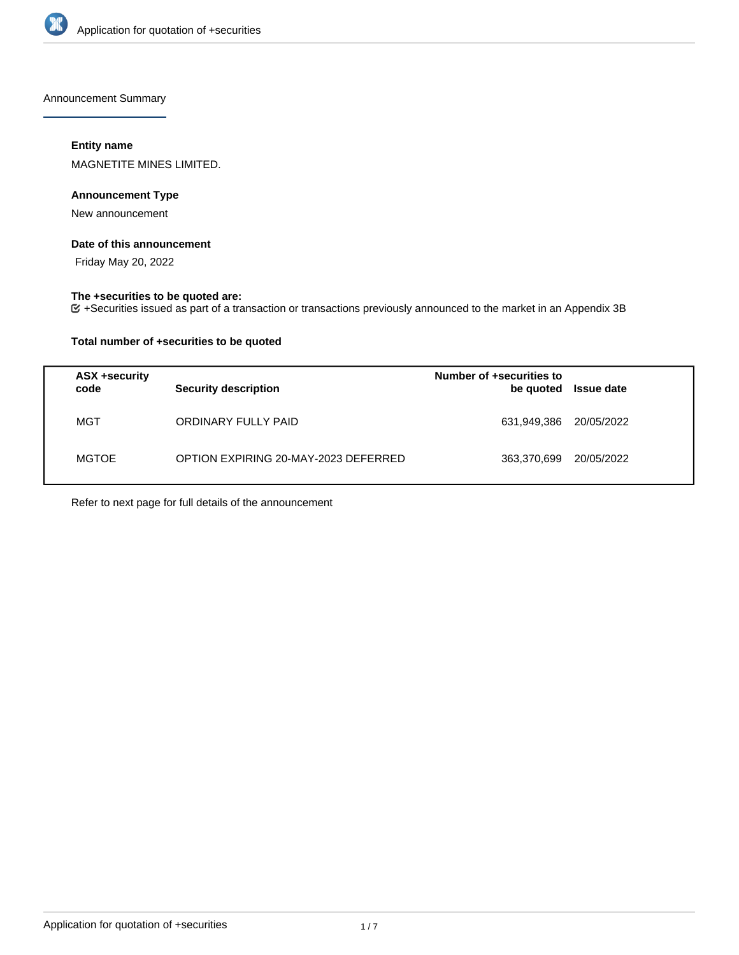

Announcement Summary

## **Entity name**

MAGNETITE MINES LIMITED.

## **Announcement Type**

New announcement

#### **Date of this announcement**

Friday May 20, 2022

# **The +securities to be quoted are:**

+Securities issued as part of a transaction or transactions previously announced to the market in an Appendix 3B

## **Total number of +securities to be quoted**

| ASX +security<br>code | <b>Security description</b>          | Number of +securities to<br>be quoted | <b>Issue date</b> |
|-----------------------|--------------------------------------|---------------------------------------|-------------------|
| MGT                   | ORDINARY FULLY PAID                  | 631,949,386                           | 20/05/2022        |
| <b>MGTOE</b>          | OPTION EXPIRING 20-MAY-2023 DEFERRED | 363,370,699                           | 20/05/2022        |

Refer to next page for full details of the announcement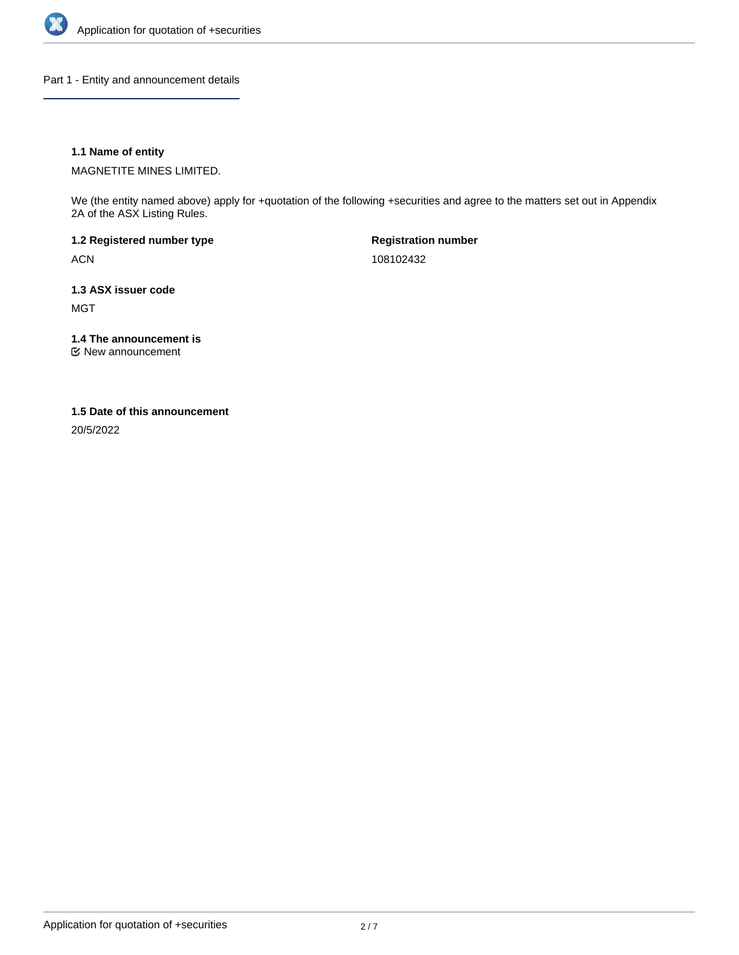

Part 1 - Entity and announcement details

## **1.1 Name of entity**

MAGNETITE MINES LIMITED.

We (the entity named above) apply for +quotation of the following +securities and agree to the matters set out in Appendix 2A of the ASX Listing Rules.

**1.2 Registered number type** ACN

**Registration number** 108102432

**1.3 ASX issuer code** MGT

**1.4 The announcement is**

New announcement

#### **1.5 Date of this announcement**

20/5/2022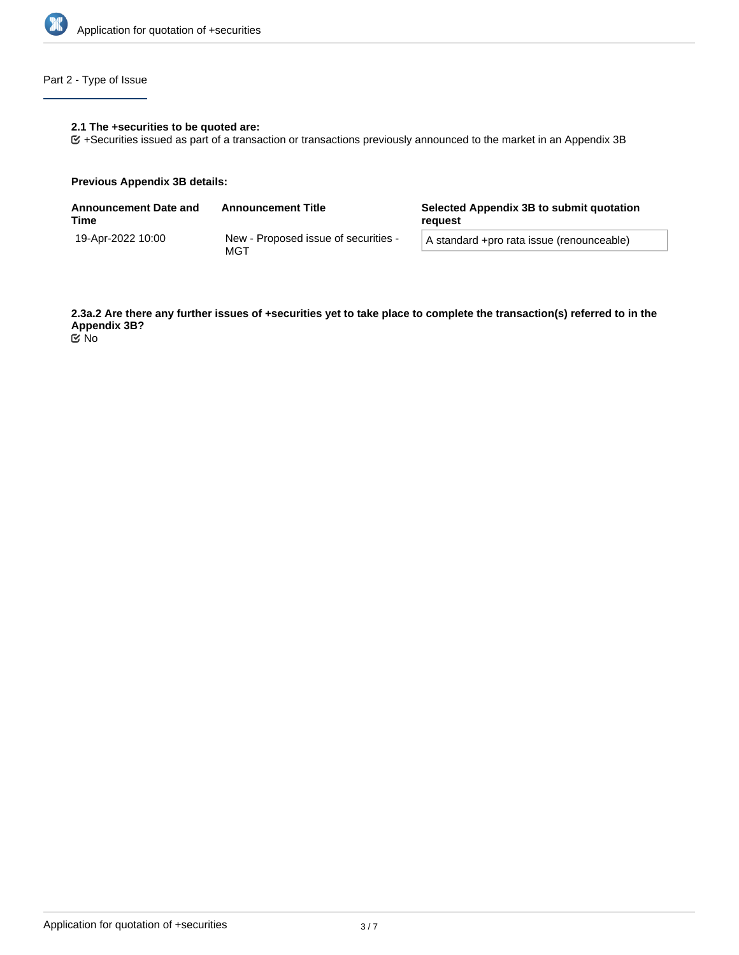

## Part 2 - Type of Issue

## **2.1 The +securities to be quoted are:**

+Securities issued as part of a transaction or transactions previously announced to the market in an Appendix 3B

#### **Previous Appendix 3B details:**

| <b>Announcement Date and</b><br>Time | <b>Announcement Title</b>                   | Selected Appendix 3B to submit quotation<br>reauest |  |
|--------------------------------------|---------------------------------------------|-----------------------------------------------------|--|
| 19-Apr-2022 10:00                    | New - Proposed issue of securities -<br>MGT | A standard +pro rata issue (renounceable)           |  |

**2.3a.2 Are there any further issues of +securities yet to take place to complete the transaction(s) referred to in the Appendix 3B?**

No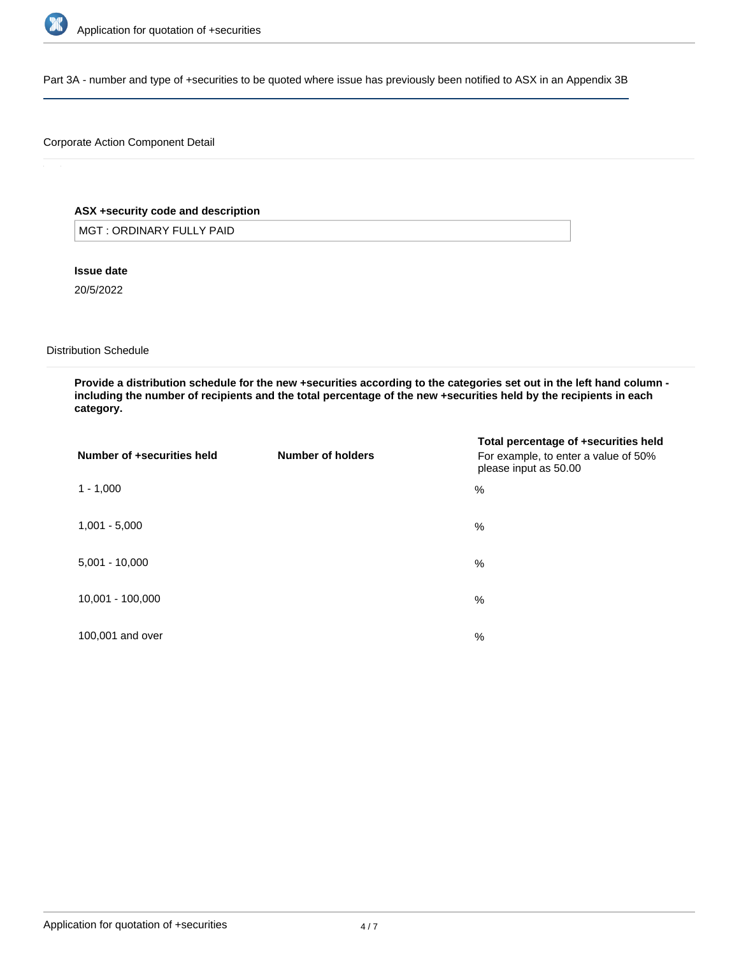

Part 3A - number and type of +securities to be quoted where issue has previously been notified to ASX in an Appendix 3B

## Corporate Action Component Detail

## **ASX +security code and description**

MGT : ORDINARY FULLY PAID

**Issue date**

20/5/2022

Distribution Schedule

**Provide a distribution schedule for the new +securities according to the categories set out in the left hand column including the number of recipients and the total percentage of the new +securities held by the recipients in each category.**

| Number of +securities held | Number of holders | Total percentage of +securities held<br>For example, to enter a value of 50%<br>please input as 50.00 |
|----------------------------|-------------------|-------------------------------------------------------------------------------------------------------|
| $1 - 1,000$                |                   | %                                                                                                     |
| $1,001 - 5,000$            |                   | %                                                                                                     |
| $5,001 - 10,000$           |                   | %                                                                                                     |
| 10,001 - 100,000           |                   | %                                                                                                     |
| 100,001 and over           |                   | $\%$                                                                                                  |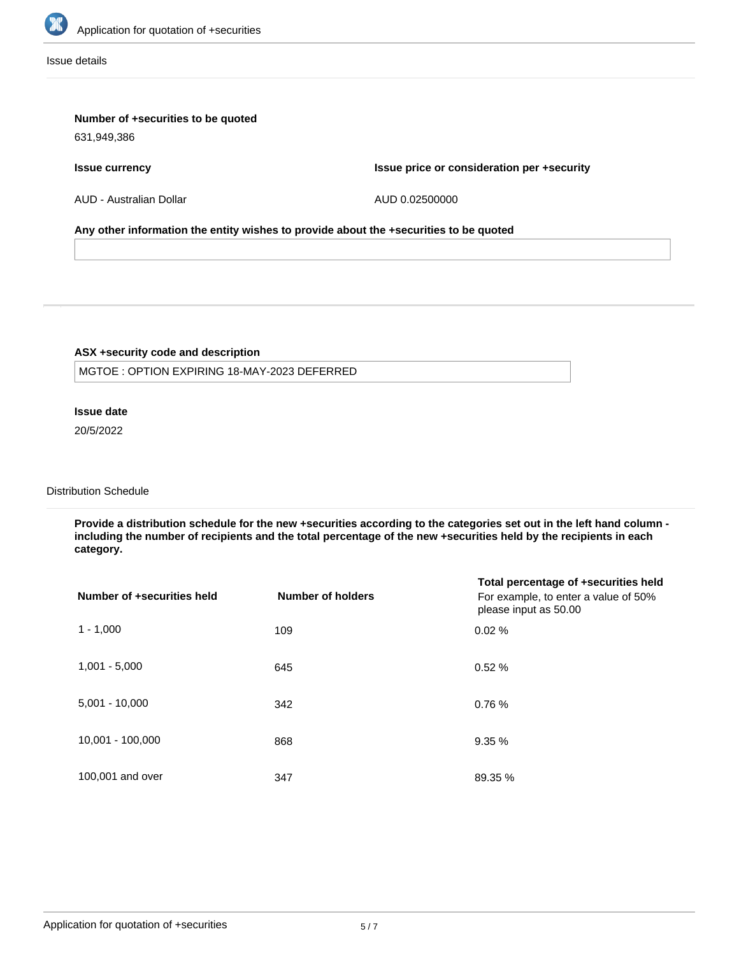

Issue details

## **Number of +securities to be quoted**

631,949,386

**Issue currency**

**Issue price or consideration per +security**

AUD - Australian Dollar

AUD 0.02500000

#### **Any other information the entity wishes to provide about the +securities to be quoted**

## **ASX +security code and description**

MGTOE : OPTION EXPIRING 18-MAY-2023 DEFERRED

## **Issue date**

20/5/2022

# Distribution Schedule

**Provide a distribution schedule for the new +securities according to the categories set out in the left hand column including the number of recipients and the total percentage of the new +securities held by the recipients in each category.**

| Number of +securities held | <b>Number of holders</b> | Total percentage of +securities held<br>For example, to enter a value of 50%<br>please input as 50.00 |
|----------------------------|--------------------------|-------------------------------------------------------------------------------------------------------|
| $1 - 1,000$                | 109                      | 0.02%                                                                                                 |
| $1,001 - 5,000$            | 645                      | 0.52%                                                                                                 |
| $5,001 - 10,000$           | 342                      | 0.76%                                                                                                 |
| 10,001 - 100,000           | 868                      | 9.35%                                                                                                 |
| 100,001 and over           | 347                      | 89.35 %                                                                                               |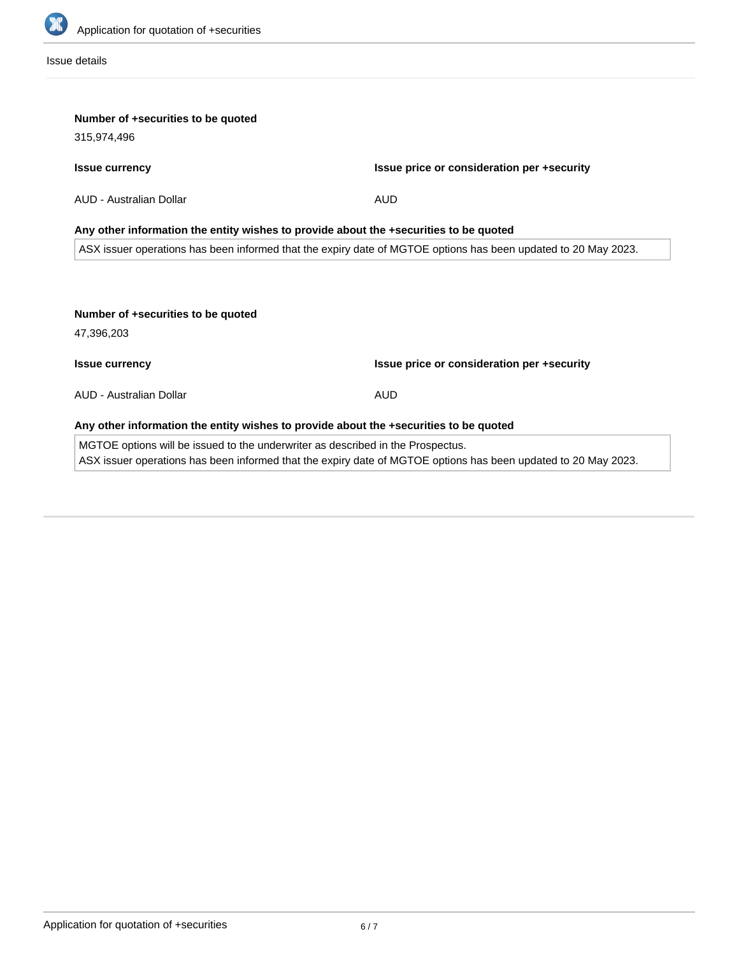

Issue details

| Number of +securities to be quoted                                                    |                                                                                                                |
|---------------------------------------------------------------------------------------|----------------------------------------------------------------------------------------------------------------|
| 315,974,496                                                                           |                                                                                                                |
| <b>Issue currency</b>                                                                 | Issue price or consideration per +security                                                                     |
| AUD - Australian Dollar                                                               | <b>AUD</b>                                                                                                     |
|                                                                                       | Any other information the entity wishes to provide about the +securities to be quoted                          |
|                                                                                       | ASX issuer operations has been informed that the expiry date of MGTOE options has been updated to 20 May 2023. |
| Number of +securities to be quoted<br>47,396,203                                      |                                                                                                                |
| <b>Issue currency</b>                                                                 | Issue price or consideration per +security                                                                     |
| AUD - Australian Dollar                                                               | <b>AUD</b>                                                                                                     |
|                                                                                       |                                                                                                                |
| Any other information the entity wishes to provide about the +securities to be quoted |                                                                                                                |
| MGTOE options will be issued to the underwriter as described in the Prospectus.       |                                                                                                                |